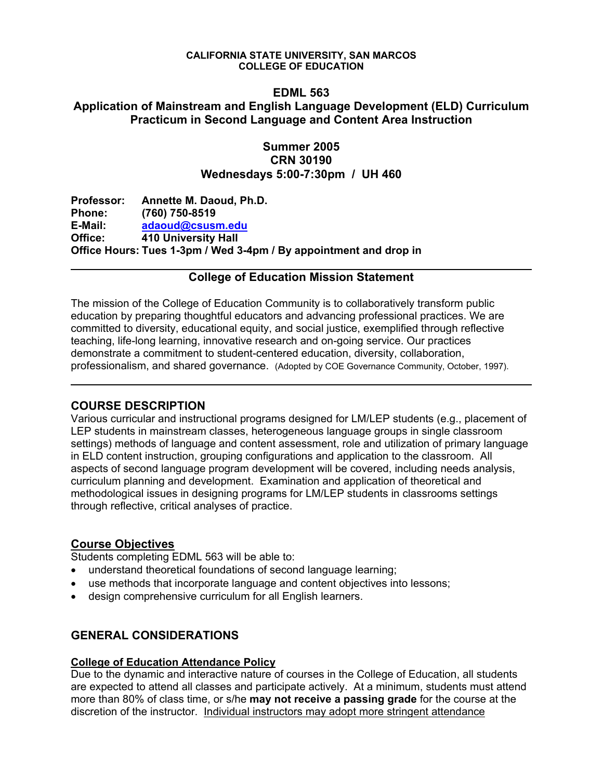#### **CALIFORNIA STATE UNIVERSITY, SAN MARCOS COLLEGE OF EDUCATION**

### **EDML 563**

## **Application of Mainstream and English Language Development (ELD) Curriculum Practicum in Second Language and Content Area Instruction**

## **Summer 2005 CRN 30190 Wednesdays 5:00-7:30pm / UH 460**

| Professor:    | Annette M. Daoud, Ph.D.                                           |
|---------------|-------------------------------------------------------------------|
| <b>Phone:</b> | $(760)$ 750-8519                                                  |
| E-Mail:       | adaoud@csusm.edu                                                  |
| Office:       | 410 University Hall                                               |
|               | Office Hours: Tues 1-3pm / Wed 3-4pm / By appointment and drop in |

## **College of Education Mission Statement**

The mission of the College of Education Community is to collaboratively transform public education by preparing thoughtful educators and advancing professional practices. We are committed to diversity, educational equity, and social justice, exemplified through reflective teaching, life-long learning, innovative research and on-going service. Our practices demonstrate a commitment to student-centered education, diversity, collaboration, professionalism, and shared governance. (Adopted by COE Governance Community, October, 1997).

### **COURSE DESCRIPTION**

Various curricular and instructional programs designed for LM/LEP students (e.g., placement of LEP students in mainstream classes, heterogeneous language groups in single classroom settings) methods of language and content assessment, role and utilization of primary language in ELD content instruction, grouping configurations and application to the classroom. All aspects of second language program development will be covered, including needs analysis, curriculum planning and development. Examination and application of theoretical and methodological issues in designing programs for LM/LEP students in classrooms settings through reflective, critical analyses of practice.

### **Course Objectives**

Students completing EDML 563 will be able to:

- understand theoretical foundations of second language learning;
- use methods that incorporate language and content objectives into lessons;
- design comprehensive curriculum for all English learners.

# **GENERAL CONSIDERATIONS**

### **College of Education Attendance Policy**

Due to the dynamic and interactive nature of courses in the College of Education, all students are expected to attend all classes and participate actively. At a minimum, students must attend more than 80% of class time, or s/he **may not receive a passing grade** for the course at the discretion of the instructor. Individual instructors may adopt more stringent attendance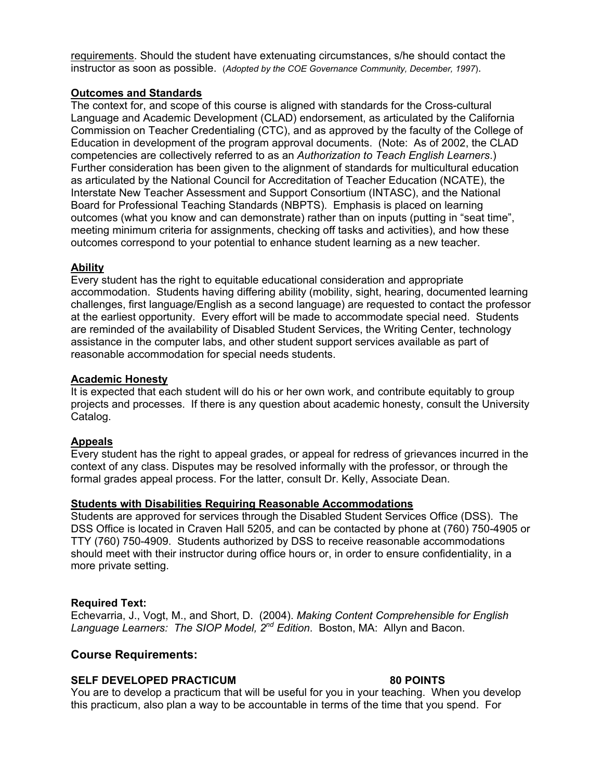requirements. Should the student have extenuating circumstances, s/he should contact the instructor as soon as possible. (*Adopted by the COE Governance Community, December, 1997*).

#### **Outcomes and Standards**

The context for, and scope of this course is aligned with standards for the Cross-cultural Language and Academic Development (CLAD) endorsement, as articulated by the California Commission on Teacher Credentialing (CTC), and as approved by the faculty of the College of Education in development of the program approval documents. (Note: As of 2002, the CLAD competencies are collectively referred to as an *Authorization to Teach English Learners*.) Further consideration has been given to the alignment of standards for multicultural education as articulated by the National Council for Accreditation of Teacher Education (NCATE), the Interstate New Teacher Assessment and Support Consortium (INTASC), and the National Board for Professional Teaching Standards (NBPTS). Emphasis is placed on learning outcomes (what you know and can demonstrate) rather than on inputs (putting in "seat time", meeting minimum criteria for assignments, checking off tasks and activities), and how these outcomes correspond to your potential to enhance student learning as a new teacher.

#### **Ability**

Every student has the right to equitable educational consideration and appropriate accommodation. Students having differing ability (mobility, sight, hearing, documented learning challenges, first language/English as a second language) are requested to contact the professor at the earliest opportunity. Every effort will be made to accommodate special need. Students are reminded of the availability of Disabled Student Services, the Writing Center, technology assistance in the computer labs, and other student support services available as part of reasonable accommodation for special needs students.

#### **Academic Honesty**

It is expected that each student will do his or her own work, and contribute equitably to group projects and processes. If there is any question about academic honesty, consult the University Catalog.

#### **Appeals**

Every student has the right to appeal grades, or appeal for redress of grievances incurred in the context of any class. Disputes may be resolved informally with the professor, or through the formal grades appeal process. For the latter, consult Dr. Kelly, Associate Dean.

#### **Students with Disabilities Requiring Reasonable Accommodations**

Students are approved for services through the Disabled Student Services Office (DSS). The DSS Office is located in Craven Hall 5205, and can be contacted by phone at (760) 750-4905 or TTY (760) 750-4909. Students authorized by DSS to receive reasonable accommodations should meet with their instructor during office hours or, in order to ensure confidentiality, in a more private setting.

#### **Required Text:**

Echevarria, J., Vogt, M., and Short, D. (2004). *Making Content Comprehensible for English Language Learners: The SIOP Model, 2nd Edition*. Boston, MA: Allyn and Bacon.

### **Course Requirements:**

#### **SELF DEVELOPED PRACTICUM 80 POINTS**

You are to develop a practicum that will be useful for you in your teaching. When you develop this practicum, also plan a way to be accountable in terms of the time that you spend. For